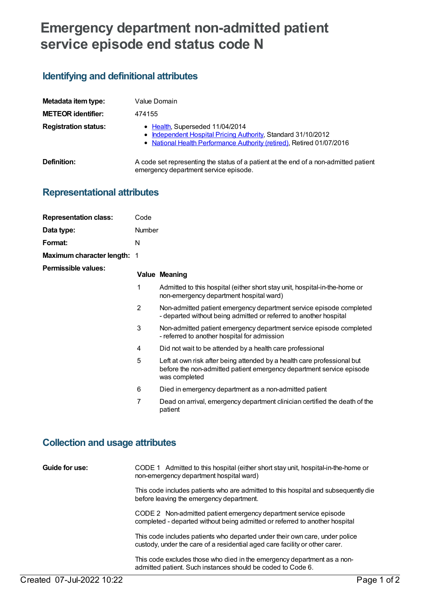# **Emergency department non-admitted patient service episode end status code N**

# **Identifying and definitional attributes**

| Metadata item type:         | Value Domain                                                                                                                                                            |
|-----------------------------|-------------------------------------------------------------------------------------------------------------------------------------------------------------------------|
| <b>METEOR identifier:</b>   | 474155                                                                                                                                                                  |
| <b>Registration status:</b> | • Health, Superseded 11/04/2014<br>Independent Hospital Pricing Authority, Standard 31/10/2012<br>• National Health Performance Authority (retired), Retired 01/07/2016 |
| Definition:                 | A code set representing the status of a patient at the end of a non-admitted patient<br>emergency department service episode.                                           |

# **Representational attributes**

| <b>Representation class:</b>       | Code           |                                                                                                                                                                  |
|------------------------------------|----------------|------------------------------------------------------------------------------------------------------------------------------------------------------------------|
| Data type:                         | <b>Number</b>  |                                                                                                                                                                  |
| Format:                            | N              |                                                                                                                                                                  |
| <b>Maximum character length: 1</b> |                |                                                                                                                                                                  |
| <b>Permissible values:</b>         |                | <b>Value Meaning</b>                                                                                                                                             |
|                                    | 1              | Admitted to this hospital (either short stay unit, hospital-in-the-home or<br>non-emergency department hospital ward)                                            |
|                                    | $\overline{2}$ | Non-admitted patient emergency department service episode completed<br>- departed without being admitted or referred to another hospital                         |
|                                    | 3              | Non-admitted patient emergency department service episode completed<br>- referred to another hospital for admission                                              |
|                                    | 4              | Did not wait to be attended by a health care professional                                                                                                        |
|                                    | 5              | Left at own risk after being attended by a health care professional but<br>before the non-admitted patient emergency department service episode<br>was completed |
|                                    | 6              | Died in emergency department as a non-admitted patient                                                                                                           |
|                                    | 7              | Dead on arrival, emergency department clinician certified the death of the<br>patient                                                                            |

## **Collection and usage attributes**

| Guide for use: | CODE 1 Admitted to this hospital (either short stay unit, hospital-in-the-home or<br>non-emergency department hospital ward)                               |
|----------------|------------------------------------------------------------------------------------------------------------------------------------------------------------|
|                | This code includes patients who are admitted to this hospital and subsequently die<br>before leaving the emergency department.                             |
|                | CODE 2 Non-admitted patient emergency department service episode<br>completed - departed without being admitted or referred to another hospital            |
|                | This code includes patients who departed under their own care, under police<br>custody, under the care of a residential aged care facility or other carer. |
|                | This code excludes those who died in the emergency department as a non-<br>admitted patient. Such instances should be coded to Code 6.                     |